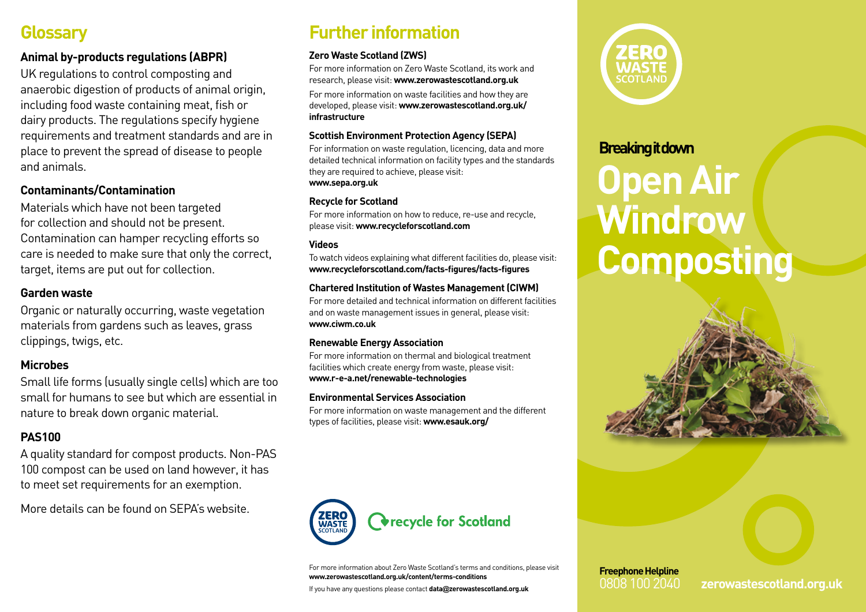## **Glossary**

#### **Animal by-products regulations (ABPR)**

UK regulations to control composting and anaerobic digestion of products of animal origin, including food waste containing meat, fish or dairy products. The regulations specify hygiene requirements and treatment standards and are in place to prevent the spread of disease to people and animals.

#### **Contaminants/Contamination**

Materials which have not been targeted for collection and should not be present. Contamination can hamper recycling efforts so care is needed to make sure that only the correct, target, items are put out for collection.

#### **Garden waste**

Organic or naturally occurring, waste vegetation materials from gardens such as leaves, grass clippings, twigs, etc.

#### **Microbes**

Small life forms (usually single cells) which are too small for humans to see but which are essential in nature to break down organic material.

#### **PAS100**

A quality standard for compost products. Non-PAS 100 compost can be used on land however, it has to meet set requirements for an exemption.

More details can be found on SEPA's website.

## **Further information**

#### **Zero Waste Scotland (ZWS)**

For more information on Zero Waste Scotland, its work and research, please visit: **www.zerowastescotland.org.uk**

For more information on waste facilities and how they are developed, please visit: **www.zerowastescotland.org.uk/ infrastructure**

#### **Scottish Environment Protection Agency (SEPA)**

For information on waste regulation, licencing, data and more detailed technical information on facility types and the standards they are required to achieve, please visit: **www.sepa.org.uk**

#### **Recycle for Scotland**

For more information on how to reduce, re-use and recycle, please visit: **www.recycleforscotland.com**

#### **Videos**

To watch videos explaining what different facilities do, please visit: **www.recycleforscotland.com/facts-figures/facts-figures**

#### **Chartered Institution of Wastes Management (CIWM)**

For more detailed and technical information on different facilities and on waste management issues in general, please visit: **www.ciwm.co.uk**

#### **Renewable Energy Association**

For more information on thermal and biological treatment facilities which create energy from waste, please visit: **www.r-e-a.net/renewable-technologies**

#### **Environmental Services Association**

For more information on waste management and the different types of facilities, please visit: **www.esauk.org/**



For more information about Zero Waste Scotland's terms and conditions, please visit **www.zerowastescotland.org.uk/content/terms-conditions**

If you have any questions please contact **data@zerowastescotland.org.uk**



### **Breaking it down**

# **Open Air Windrow Composting**





0808 100 2040 **zerowastescotland.org.uk**